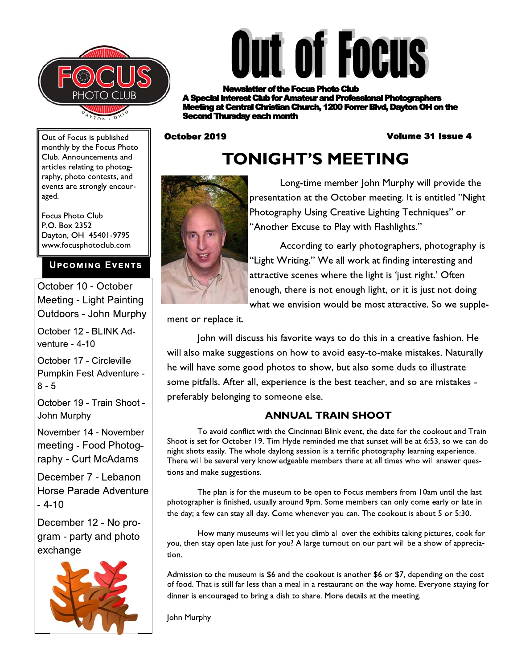



**r of the Focus Photo Club rest Club for Amateur and Professional Photographers** g at Central Christian Church, 1200 Forrer Blvd, Dayton OH on the **Thursday each month** 

October 2019

#### **Volume 31 Issue 4**

Out of Focus is published monthly by the Focus Photo Club. Announcements and articles relating to photography, photo contests, and events are strongly encouraged.

**Focus Photo Club** P.O. Box 2352 Dayton, OH 45401-9795 www.focusphotoclub.com

#### **UPCOMING EVENTS**

October 10 - October Meeting - Light Painting Outdoors - John Murphy

October 12 - BLINK Adventure -  $4-10$ 

October 17 - Circleville Pumpkin Fest Adventure - $8 - 5$ 

October 19 - Train Shoot -John Murphy

November 14 - November meeting - Food Photography - Curt McAdams

December 7 - Lebanon Horse Parade Adventure  $-4-10$ 

December 12 - No program - party and photo exchange



# **TONIGHT'S MEETING**



Long-time member John Murphy will provide the presentation at the October meeting. It is entitled "Night Photography Using Creative Lighting Techniques" or "Another Excuse to Play with Flashlights."

According to early photographers, photography is "Light Writing." We all work at finding interesting and attractive scenes where the light is 'just right.' Often enough, there is not enough light, or it is just not doing what we envision would be most attractive. So we supple-

ment or replace it.

John will discuss his favorite ways to do this in a creative fashion. He will also make suggestions on how to avoid easy-to-make mistakes. Naturally he will have some good photos to show, but also some duds to illustrate some pitfalls. After all, experience is the best teacher, and so are mistakes preferably belonging to someone else.

### **ANNUAL TRAIN SHOOT**

To avoid conflict with the Cincinnati Blink event, the date for the cookout and Train Shoot is set for October 19. Tim Hyde reminded me that sunset will be at 6:53, so we can do night shots easily. The whole daylong session is a terrific photography learning experience. There will be several very knowledgeable members there at all times who will answer questions and make suggestions.

The plan is for the museum to be open to Focus members from 10am until the last photographer is finished, usually around 9pm. Some members can only come early or late in the day; a few can stay all day. Come whenever you can. The cookout is about 5 or 5:30.

How many museums will let you climb all over the exhibits taking pictures, cook for you, then stay open late just for you? A large turnout on our part will be a show of appreciation.

Admission to the museum is \$6 and the cookout is another \$6 or \$7, depending on the cost of food. That is still far less than a meal in a restaurant on the way home. Everyone staying for dinner is encouraged to bring a dish to share. More details at the meeting.

John Murphy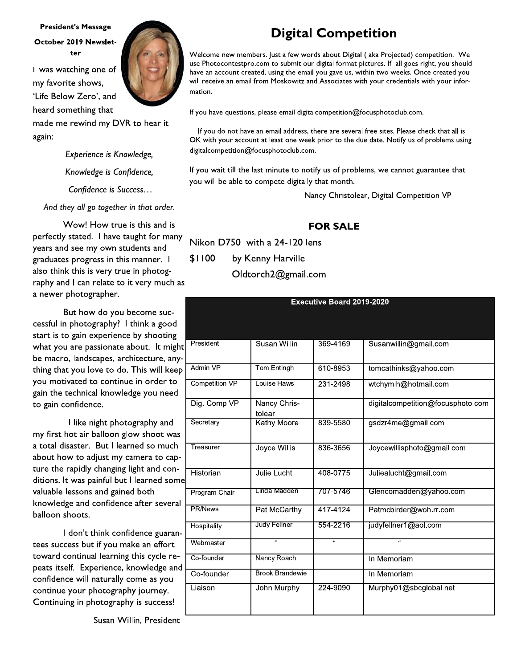#### **President's Message** October 2019 Newsletter

I was watching one of my favorite shows, 'Life Below Zero', and heard something that

made me rewind my DVR to hear it again:

> Experience is Knowledge, Knowledge is Confidence,

Confidence is Success...

And they all go together in that order.

Wow! How true is this and is perfectly stated. I have taught for many years and see my own students and graduates progress in this manner. I also think this is very true in photography and I can relate to it very much as a newer photographer.

But how do you become successful in photography? I think a good start is to gain experience by shooting what you are passionate about. It might be macro, landscapes, architecture, anything that you love to do. This will keep you motivated to continue in order to gain the technical knowledge you need to gain confidence.

I like night photography and my first hot air balloon glow shoot was a total disaster. But I learned so much about how to adjust my camera to capture the rapidly changing light and conditions. It was painful but I learned some valuable lessons and gained both knowledge and confidence after several balloon shoots.

I don't think confidence guarantees success but if you make an effort toward continual learning this cycle repeats itself. Experience, knowledge and confidence will naturally come as you continue your photography journey. Continuing in photography is success!

Susan Willin, President

**Digital Competition** 

Welcome new members. Just a few words about Digital (aka Projected) competition. We use Photocontestpro.com to submit our digital format pictures. If all goes right, you should have an account created, using the email you gave us, within two weeks. Once created you will receive an email from Moskowitz and Associates with your credentials with your information.

If you have questions, please email digitalcompetition@focusphotoclub.com.

If you do not have an email address, there are several free sites. Please check that all is OK with your account at least one week prior to the due date. Notify us of problems using digitalcompetition@focusphotoclub.com.

If you wait till the last minute to notify us of problems, we cannot guarantee that you will be able to compete digitally that month.

Nancy Christolear, Digital Competition VP

## **FOR SALE**

Nikon D750 with a 24-120 lens \$1100 by Kenny Harville Oldtorch2@gmail.com

| <b>Executive Board 2019-2020</b> |                        |                |                                   |  |
|----------------------------------|------------------------|----------------|-----------------------------------|--|
|                                  |                        |                |                                   |  |
|                                  |                        |                |                                   |  |
| President                        | Susan Willin           | 369-4169       | Susanwillin@gmail.com             |  |
| Admin VP                         | Tom Entingh            | 610-8953       | tomcathinks@yahoo.com             |  |
| <b>Competition VP</b>            | Louise Haws            | 231-2498       | wtchymlh@hotmail.com              |  |
| Dig. Comp VP                     | Nancy Chris-<br>tolear |                | digitalcompetition@focusphoto.com |  |
| Secretary                        | <b>Kathy Moore</b>     | 839-5580       | gsdzr4me@gmail.com                |  |
| Treasurer                        | Joyce Willis           | 836-3656       | Joycewillisphoto@gmail.com        |  |
| Historian                        | Julie Lucht            | 408-0775       | Juliealucht@gmail.com             |  |
| Program Chair                    | Linda Madden           | 707-5746       | Glencomadden@yahoo.com            |  |
| PR/News                          | Pat McCarthy           | 417-4124       | Patmcbirder@woh.rr.com            |  |
| Hospitality                      | Judy Fellner           | 554-2216       | judyfellner1@aol.com              |  |
| Webmaster                        | $\overline{u}$         | $\overline{u}$ | $\overline{u}$                    |  |
| Co-founder                       | Nancy Roach            |                | In Memoriam                       |  |
| Co-founder                       | <b>Brook Brandewie</b> |                | In Memoriam                       |  |
| Liaison                          | John Murphy            | 224-9090       | Murphy01@sbcglobal.net            |  |

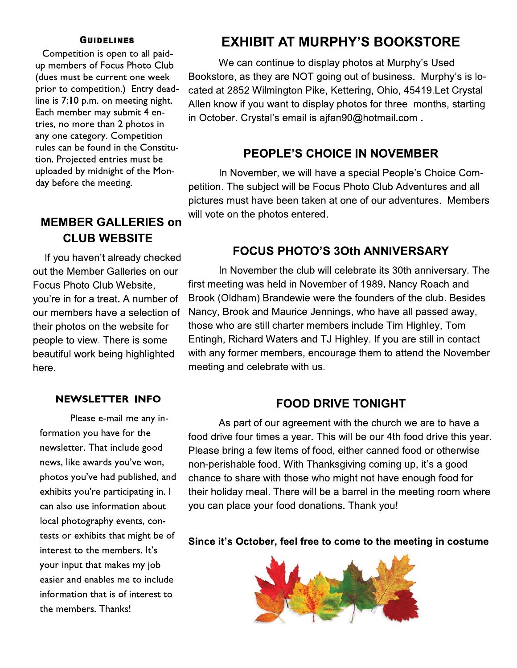#### **GUIDELINES**

Competition is open to all paidup members of Focus Photo Club (dues must be current one week prior to competition.) Entry deadline is  $\ell$ :10 p.m. on meeting night. Each member may submit 4 entries, no more than 2 photos in any one category. Competition rules can be found in the Constitution. Projected entries must be (dues must be current one week Bookstore, as prior to competition.) Entry dead-<br>
cated at 2852 v<br>
line is 7:10 p.m. on meeting night. Allen know if y<br>
Each member may submit 4 en-<br>
tries, no more than 2 photos in<br>
any one day before the meeting.

# **MEMBER GALLERIES on CLUB WEBSITE**

If you haven't already checked out the Member Galleries on our Focus Photo Club Website. you're in for a treat. A number of our members have a selection of their photos on the website for people to view. There is some beautiful work being highlighted here.

#### NEWSLETTER INFO.

Please e-mail me any information you have for the newsletter. That include good news, like awards you've won, photos you've had published, and exhibits you're participating in. I can also use information about local photography events, contests or exhibits that might be of interest to the members. It's your input that makes my job easier and enables me to include information that is of interest to the members. Thanks! t in

# EXHIBIT AT MURPHY'S BOOKSTORE

We can continue to display photos at Murphy's Used Bookstore, as they are NOT going out of business. Murphy's is located at 2852 Wilmington Pike, Kettering, Ohio, 45419. Let Crystal Allen know if you want to display photos for three months, starting in October. Crystal's email is ajfan90@hotmail.com.

### PEOPLE'S CHOICE IN NOVEMBER

In November, we will have a special People's Choice Competition. The subject will be Focus Photo Club Adventures and all pictures must have been taken at one of our adventures. Members will vote on the photos entered.

# FOCUS PHOTO'S 30th ANNIVERSARY

In November the club will celebrate its 30th anniversary. The first meeting was held in November of 1989. Nancy Roach and Brook (Oldham) Brandewie were the founders of the club. Besides Nancy, Brook and Maurice Jennings, who have all passed away, those who are still charter members include Tim Highley, Tom Entingh, Richard Waters and TJ Highley. If you are still in contact with any former members, encourage them to attend the November meeting and celebrate with us.

#### **FOOD DRIVE TONIGHT**

As part of our agreement with the church we are to have a food drive four times a year. This will be our 4th food drive this year. Please bring a few items of food, either canned food or otherwise hon-perishable food. With Thanksgiving coming up, it's a good chance to share with those who might not have enough food for their holiday meal. There will be a barrel in the meeting room where you can place your food donations. Thank you!

Since it's October, feel free to come to the meeting in costume